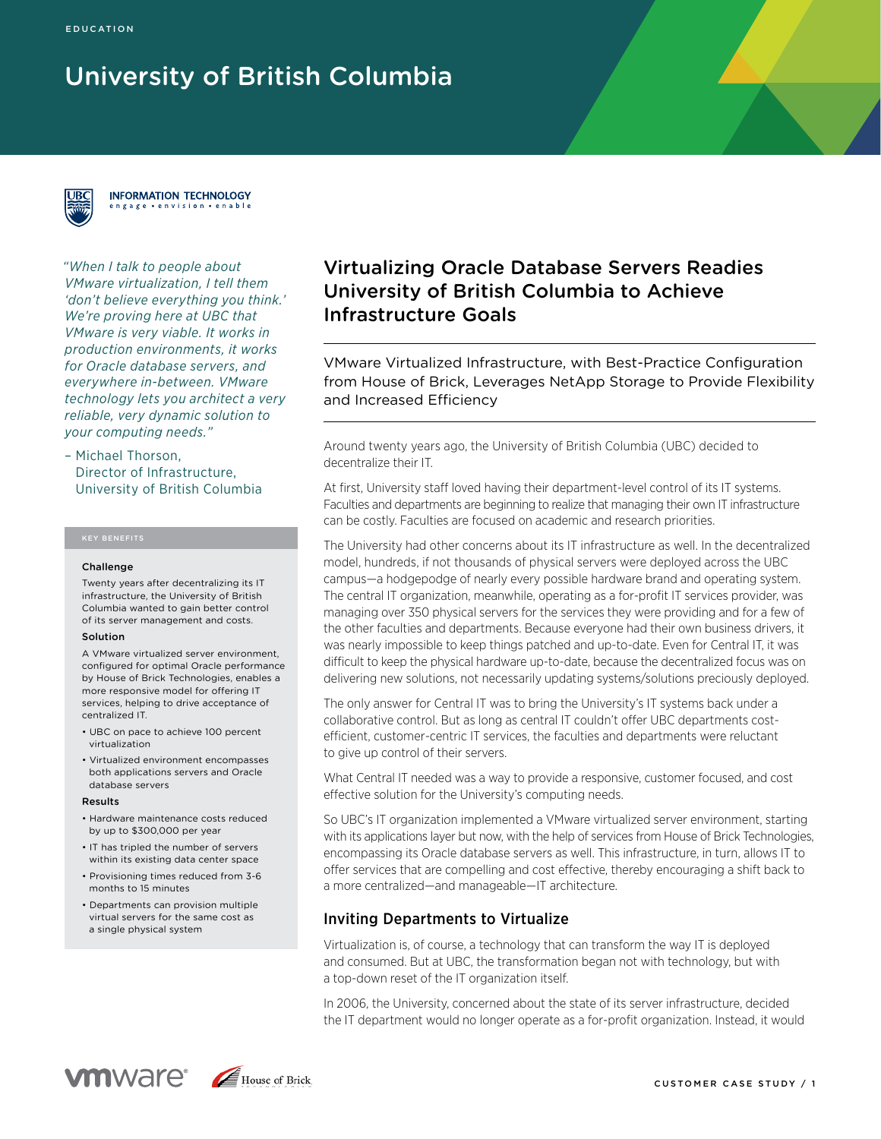# University of British Columbia



## **INFORMATION TECHNOLOGY**

 *"When I talk to people about VMware virtualization, I tell them 'don't believe everything you think.' We're proving here at UBC that VMware is very viable. It works in production environments, it works for Oracle database servers, and everywhere in-between. VMware technology lets you architect a very reliable, very dynamic solution to your computing needs."*

– Michael Thorson, Director of Infrastructure, University of British Columbia

### Challenge

Twenty years after decentralizing its IT infrastructure, the University of British Columbia wanted to gain better control of its server management and costs.

### Solution

A VMware virtualized server environment, configured for optimal Oracle performance by House of Brick Technologies, enables a more responsive model for offering IT services, helping to drive acceptance of centralized IT.

- UBC on pace to achieve 100 percent virtualization
- Virtualized environment encompasses both applications servers and Oracle database servers

### Results

- Hardware maintenance costs reduced by up to \$300,000 per year
- IT has tripled the number of servers within its existing data center space
- Provisioning times reduced from 3-6 months to 15 minutes
- Departments can provision multiple virtual servers for the same cost as a single physical system

## Virtualizing Oracle Database Servers Readies University of British Columbia to Achieve Infrastructure Goals

VMware Virtualized Infrastructure, with Best-Practice Configuration from House of Brick, Leverages NetApp Storage to Provide Flexibility and Increased Efficiency

Around twenty years ago, the University of British Columbia (UBC) decided to decentralize their IT.

At first, University staff loved having their department-level control of its IT systems. Faculties and departments are beginning to realize that managing their own IT infrastructure can be costly. Faculties are focused on academic and research priorities.

The University had other concerns about its IT infrastructure as well. In the decentralized model, hundreds, if not thousands of physical servers were deployed across the UBC campus—a hodgepodge of nearly every possible hardware brand and operating system. The central IT organization, meanwhile, operating as a for-profit IT services provider, was managing over 350 physical servers for the services they were providing and for a few of the other faculties and departments. Because everyone had their own business drivers, it was nearly impossible to keep things patched and up-to-date. Even for Central IT, it was difficult to keep the physical hardware up-to-date, because the decentralized focus was on delivering new solutions, not necessarily updating systems/solutions preciously deployed.

The only answer for Central IT was to bring the University's IT systems back under a collaborative control. But as long as central IT couldn't offer UBC departments costefficient, customer-centric IT services, the faculties and departments were reluctant to give up control of their servers.

What Central IT needed was a way to provide a responsive, customer focused, and cost effective solution for the University's computing needs.

So UBC's IT organization implemented a VMware virtualized server environment, starting with its applications layer but now, with the help of services from House of Brick Technologies, encompassing its Oracle database servers as well. This infrastructure, in turn, allows IT to offer services that are compelling and cost effective, thereby encouraging a shift back to a more centralized—and manageable—IT architecture.

### Inviting Departments to Virtualize

Virtualization is, of course, a technology that can transform the way IT is deployed and consumed. But at UBC, the transformation began not with technology, but with a top-down reset of the IT organization itself.

In 2006, the University, concerned about the state of its server infrastructure, decided the IT department would no longer operate as a for-profit organization. Instead, it would

 $\n *www* are  $u$  gives  $u$  is  $u$ .$ 

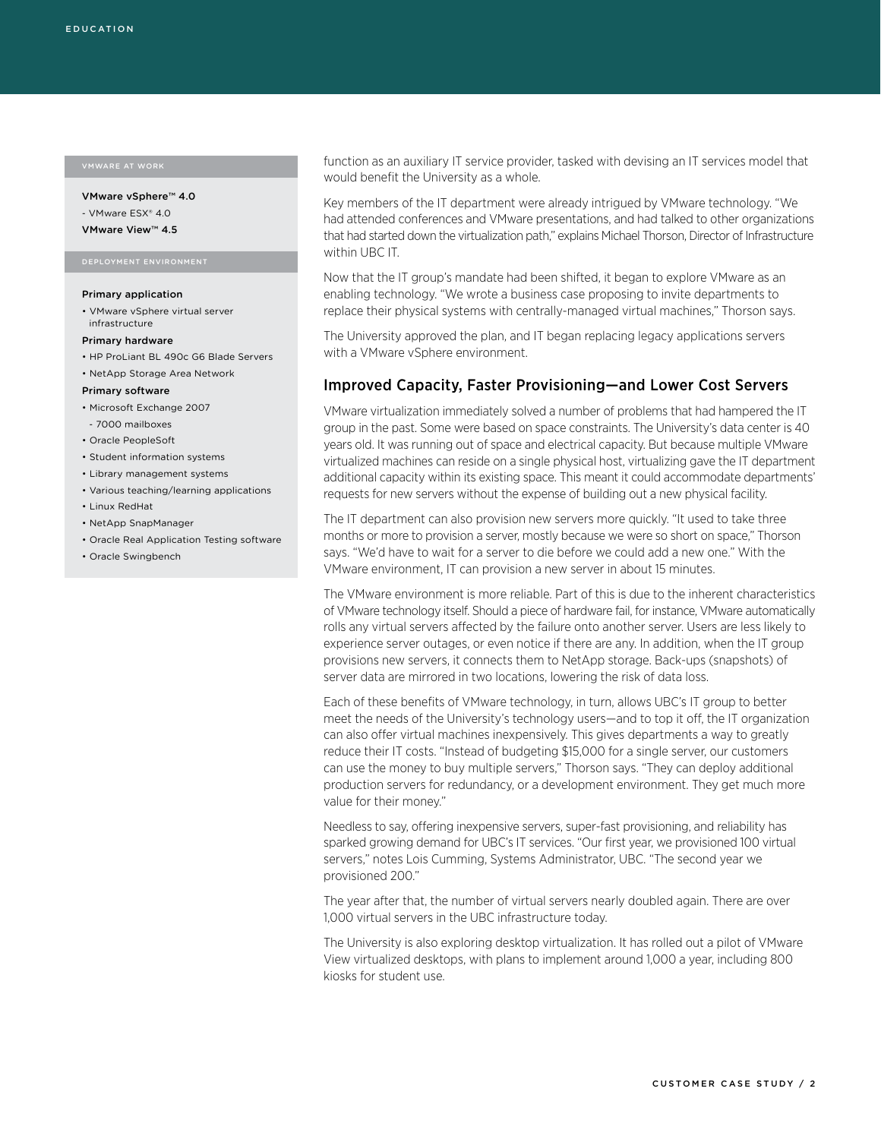VMware vSphere™ 4.0

- VMware ESX® 4.0

VMware View™ 4.5

### Primary application

• VMware vSphere virtual server infrastructure

### Primary hardware

• HP ProLiant BL 490c G6 Blade Servers

### • NetApp Storage Area Network

### Primary software

- Microsoft Exchange 2007 - 7000 mailboxes
- Oracle PeopleSoft
- Student information systems
- Library management systems
- Various teaching/learning applications
- Linux RedHat
- NetApp SnapManager
- Oracle Real Application Testing software
- Oracle Swingbench

### function as an auxiliary IT service provider, tasked with devising an IT services model that would benefit the University as a whole.

Key members of the IT department were already intrigued by VMware technology. "We had attended conferences and VMware presentations, and had talked to other organizations that had started down the virtualization path," explains Michael Thorson, Director of Infrastructure within UBC IT.

Now that the IT group's mandate had been shifted, it began to explore VMware as an enabling technology. "We wrote a business case proposing to invite departments to replace their physical systems with centrally-managed virtual machines," Thorson says.

The University approved the plan, and IT began replacing legacy applications servers with a VMware vSphere environment.

### Improved Capacity, Faster Provisioning—and Lower Cost Servers

VMware virtualization immediately solved a number of problems that had hampered the IT group in the past. Some were based on space constraints. The University's data center is 40 years old. It was running out of space and electrical capacity. But because multiple VMware virtualized machines can reside on a single physical host, virtualizing gave the IT department additional capacity within its existing space. This meant it could accommodate departments' requests for new servers without the expense of building out a new physical facility.

The IT department can also provision new servers more quickly. "It used to take three months or more to provision a server, mostly because we were so short on space," Thorson says. "We'd have to wait for a server to die before we could add a new one." With the VMware environment, IT can provision a new server in about 15 minutes.

The VMware environment is more reliable. Part of this is due to the inherent characteristics of VMware technology itself. Should a piece of hardware fail, for instance, VMware automatically rolls any virtual servers affected by the failure onto another server. Users are less likely to experience server outages, or even notice if there are any. In addition, when the IT group provisions new servers, it connects them to NetApp storage. Back-ups (snapshots) of server data are mirrored in two locations, lowering the risk of data loss.

Each of these benefits of VMware technology, in turn, allows UBC's IT group to better meet the needs of the University's technology users—and to top it off, the IT organization can also offer virtual machines inexpensively. This gives departments a way to greatly reduce their IT costs. "Instead of budgeting \$15,000 for a single server, our customers can use the money to buy multiple servers," Thorson says. "They can deploy additional production servers for redundancy, or a development environment. They get much more value for their money."

Needless to say, offering inexpensive servers, super-fast provisioning, and reliability has sparked growing demand for UBC's IT services. "Our first year, we provisioned 100 virtual servers," notes Lois Cumming, Systems Administrator, UBC. "The second year we provisioned 200."

The year after that, the number of virtual servers nearly doubled again. There are over 1,000 virtual servers in the UBC infrastructure today.

The University is also exploring desktop virtualization. It has rolled out a pilot of VMware View virtualized desktops, with plans to implement around 1,000 a year, including 800 kiosks for student use.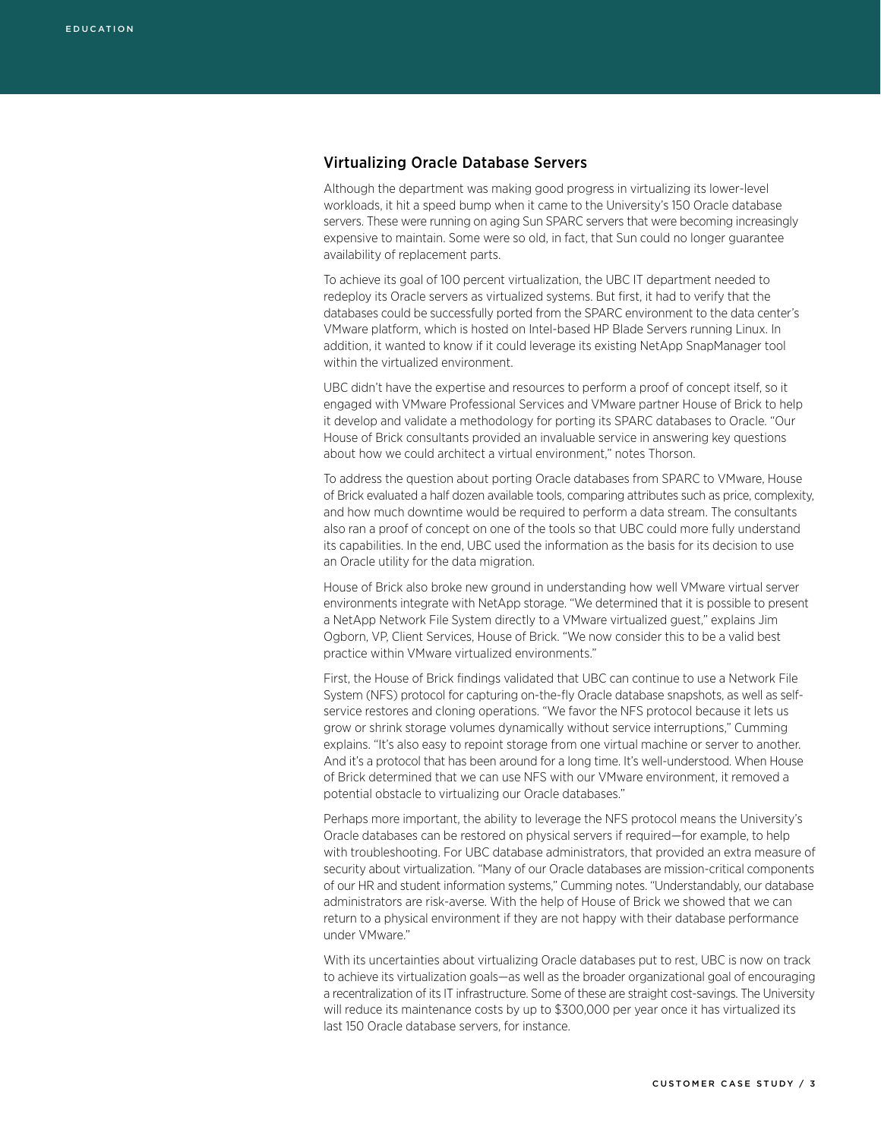### Virtualizing Oracle Database Servers

Although the department was making good progress in virtualizing its lower-level workloads, it hit a speed bump when it came to the University's 150 Oracle database servers. These were running on aging Sun SPARC servers that were becoming increasingly expensive to maintain. Some were so old, in fact, that Sun could no longer guarantee availability of replacement parts.

To achieve its goal of 100 percent virtualization, the UBC IT department needed to redeploy its Oracle servers as virtualized systems. But first, it had to verify that the databases could be successfully ported from the SPARC environment to the data center's VMware platform, which is hosted on Intel-based HP Blade Servers running Linux. In addition, it wanted to know if it could leverage its existing NetApp SnapManager tool within the virtualized environment.

UBC didn't have the expertise and resources to perform a proof of concept itself, so it engaged with VMware Professional Services and VMware partner House of Brick to help it develop and validate a methodology for porting its SPARC databases to Oracle. "Our House of Brick consultants provided an invaluable service in answering key questions about how we could architect a virtual environment," notes Thorson.

To address the question about porting Oracle databases from SPARC to VMware, House of Brick evaluated a half dozen available tools, comparing attributes such as price, complexity, and how much downtime would be required to perform a data stream. The consultants also ran a proof of concept on one of the tools so that UBC could more fully understand its capabilities. In the end, UBC used the information as the basis for its decision to use an Oracle utility for the data migration.

House of Brick also broke new ground in understanding how well VMware virtual server environments integrate with NetApp storage. "We determined that it is possible to present a NetApp Network File System directly to a VMware virtualized guest," explains Jim Ogborn, VP, Client Services, House of Brick. "We now consider this to be a valid best practice within VMware virtualized environments."

First, the House of Brick findings validated that UBC can continue to use a Network File System (NFS) protocol for capturing on-the-fly Oracle database snapshots, as well as selfservice restores and cloning operations. "We favor the NFS protocol because it lets us grow or shrink storage volumes dynamically without service interruptions," Cumming explains. "It's also easy to repoint storage from one virtual machine or server to another. And it's a protocol that has been around for a long time. It's well-understood. When House of Brick determined that we can use NFS with our VMware environment, it removed a potential obstacle to virtualizing our Oracle databases."

Perhaps more important, the ability to leverage the NFS protocol means the University's Oracle databases can be restored on physical servers if required—for example, to help with troubleshooting. For UBC database administrators, that provided an extra measure of security about virtualization. "Many of our Oracle databases are mission-critical components of our HR and student information systems," Cumming notes. "Understandably, our database administrators are risk-averse. With the help of House of Brick we showed that we can return to a physical environment if they are not happy with their database performance under VMware."

With its uncertainties about virtualizing Oracle databases put to rest, UBC is now on track to achieve its virtualization goals—as well as the broader organizational goal of encouraging a recentralization of its IT infrastructure. Some of these are straight cost-savings. The University will reduce its maintenance costs by up to \$300,000 per year once it has virtualized its last 150 Oracle database servers, for instance.